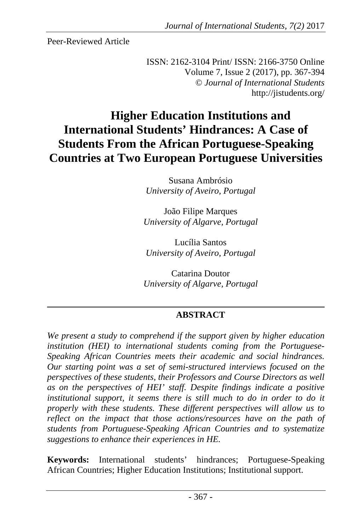Peer-Reviewed Article

ISSN: 2162-3104 Print/ ISSN: 2166-3750 Online Volume 7, Issue 2 (2017), pp. 367-394 © *Journal of International Students* http://jistudents.org/

# **Higher Education Institutions and International Students' Hindrances: A Case of Students From the African Portuguese-Speaking Countries at Two European Portuguese Universities**

Susana Ambrósio *University of Aveiro, Portugal* 

João Filipe Marques *University of Algarve, Portugal* 

Lucília Santos *University of Aveiro, Portugal* 

Catarina Doutor *University of Algarve, Portugal* 

# **ABSTRACT**

*We present a study to comprehend if the support given by higher education institution (HEI) to international students coming from the Portuguese-Speaking African Countries meets their academic and social hindrances. Our starting point was a set of semi-structured interviews focused on the perspectives of these students, their Professors and Course Directors as well as on the perspectives of HEI' staff. Despite findings indicate a positive institutional support, it seems there is still much to do in order to do it properly with these students. These different perspectives will allow us to reflect on the impact that those actions/resources have on the path of students from Portuguese-Speaking African Countries and to systematize suggestions to enhance their experiences in HE.*

**Keywords:** International students' hindrances; Portuguese-Speaking African Countries; Higher Education Institutions; Institutional support.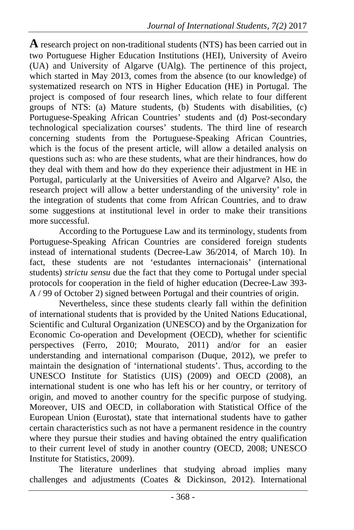**A** research project on non-traditional students (NTS) has been carried out in two Portuguese Higher Education Institutions (HEI), University of Aveiro (UA) and University of Algarve (UAlg). The pertinence of this project, which started in May 2013, comes from the absence (to our knowledge) of systematized research on NTS in Higher Education (HE) in Portugal. The project is composed of four research lines, which relate to four different groups of NTS: (a) Mature students, (b) Students with disabilities, (c) Portuguese-Speaking African Countries' students and (d) Post-secondary technological specialization courses' students. The third line of research concerning students from the Portuguese-Speaking African Countries, which is the focus of the present article, will allow a detailed analysis on questions such as: who are these students, what are their hindrances, how do they deal with them and how do they experience their adjustment in HE in Portugal, particularly at the Universities of Aveiro and Algarve? Also, the research project will allow a better understanding of the university' role in the integration of students that come from African Countries, and to draw some suggestions at institutional level in order to make their transitions more successful.

According to the Portuguese Law and its terminology, students from Portuguese-Speaking African Countries are considered foreign students instead of international students (Decree-Law 36/2014, of March 10). In fact, these students are not 'estudantes internacionais' (international students) *strictu sensu* due the fact that they come to Portugal under special protocols for cooperation in the field of higher education (Decree-Law 393- A / 99 of October 2) signed between Portugal and their countries of origin.

Nevertheless, since these students clearly fall within the definition of international students that is provided by the United Nations Educational, Scientific and Cultural Organization (UNESCO) and by the Organization for Economic Co-operation and Development (OECD), whether for scientific perspectives (Ferro, 2010; Mourato, 2011) and/or for an easier understanding and international comparison (Duque, 2012), we prefer to maintain the designation of 'international students'. Thus, according to the UNESCO Institute for Statistics (UIS) (2009) and OECD (2008), an international student is one who has left his or her country, or territory of origin, and moved to another country for the specific purpose of studying. Moreover, UIS and OECD, in collaboration with Statistical Office of the European Union (Eurostat), state that international students have to gather certain characteristics such as not have a permanent residence in the country where they pursue their studies and having obtained the entry qualification to their current level of study in another country (OECD, 2008; UNESCO Institute for Statistics, 2009).

The literature underlines that studying abroad implies many challenges and adjustments (Coates & Dickinson, 2012). International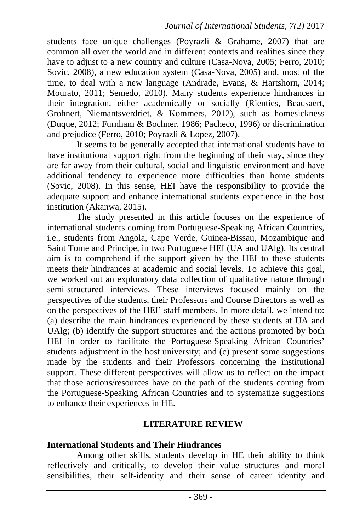students face unique challenges (Poyrazli & Grahame, 2007) that are common all over the world and in different contexts and realities since they have to adjust to a new country and culture (Casa-Nova, 2005; Ferro, 2010; Sovic, 2008), a new education system (Casa-Nova, 2005) and, most of the time, to deal with a new language (Andrade, Evans, & Hartshorn, 2014; Mourato, 2011; Semedo, 2010). Many students experience hindrances in their integration, either academically or socially (Rienties, Beausaert, Grohnert, Niemantsverdriet, & Kommers, 2012), such as homesickness (Duque, 2012; Furnham & Bochner, 1986; Pacheco, 1996) or discrimination and prejudice (Ferro, 2010; Poyrazli & Lopez, 2007).

It seems to be generally accepted that international students have to have institutional support right from the beginning of their stay, since they are far away from their cultural, social and linguistic environment and have additional tendency to experience more difficulties than home students (Sovic, 2008). In this sense, HEI have the responsibility to provide the adequate support and enhance international students experience in the host institution (Akanwa, 2015).

The study presented in this article focuses on the experience of international students coming from Portuguese-Speaking African Countries, i.e., students from Angola, Cape Verde, Guinea-Bissau, Mozambique and Saint Tome and Principe, in two Portuguese HEI (UA and UAlg). Its central aim is to comprehend if the support given by the HEI to these students meets their hindrances at academic and social levels. To achieve this goal, we worked out an exploratory data collection of qualitative nature through semi-structured interviews. These interviews focused mainly on the perspectives of the students, their Professors and Course Directors as well as on the perspectives of the HEI' staff members. In more detail, we intend to: (a) describe the main hindrances experienced by these students at UA and UAlg; (b) identify the support structures and the actions promoted by both HEI in order to facilitate the Portuguese-Speaking African Countries' students adjustment in the host university; and  $(c)$  present some suggestions made by the students and their Professors concerning the institutional support. These different perspectives will allow us to reflect on the impact that those actions/resources have on the path of the students coming from the Portuguese-Speaking African Countries and to systematize suggestions to enhance their experiences in HE.

## **LITERATURE REVIEW**

## **International Students and Their Hindrances**

Among other skills, students develop in HE their ability to think reflectively and critically, to develop their value structures and moral sensibilities, their self-identity and their sense of career identity and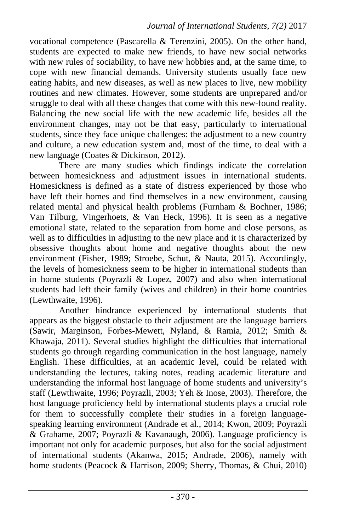vocational competence (Pascarella & Terenzini, 2005). On the other hand, students are expected to make new friends, to have new social networks with new rules of sociability, to have new hobbies and, at the same time, to cope with new financial demands. University students usually face new eating habits, and new diseases, as well as new places to live, new mobility routines and new climates. However, some students are unprepared and/or struggle to deal with all these changes that come with this new-found reality. Balancing the new social life with the new academic life, besides all the environment changes, may not be that easy, particularly to international students, since they face unique challenges: the adjustment to a new country and culture, a new education system and, most of the time, to deal with a new language (Coates & Dickinson, 2012).

There are many studies which findings indicate the correlation between homesickness and adjustment issues in international students. Homesickness is defined as a state of distress experienced by those who have left their homes and find themselves in a new environment, causing related mental and physical health problems (Furnham & Bochner, 1986; Van Tilburg, Vingerhoets, & Van Heck, 1996). It is seen as a negative emotional state, related to the separation from home and close persons, as well as to difficulties in adjusting to the new place and it is characterized by obsessive thoughts about home and negative thoughts about the new environment (Fisher, 1989; Stroebe, Schut, & Nauta, 2015). Accordingly, the levels of homesickness seem to be higher in international students than in home students (Poyrazli  $& Lopez, 2007$ ) and also when international students had left their family (wives and children) in their home countries (Lewthwaite, 1996).

Another hindrance experienced by international students that appears as the biggest obstacle to their adjustment are the language barriers (Sawir, Marginson, Forbes-Mewett, Nyland, & Ramia, 2012; Smith & Khawaja, 2011). Several studies highlight the difficulties that international students go through regarding communication in the host language, namely English. These difficulties, at an academic level, could be related with understanding the lectures, taking notes, reading academic literature and understanding the informal host language of home students and university's staff (Lewthwaite, 1996; Poyrazli, 2003; Yeh & Inose, 2003). Therefore, the host language proficiency held by international students plays a crucial role for them to successfully complete their studies in a foreign languagespeaking learning environment (Andrade et al., 2014; Kwon, 2009; Poyrazli & Grahame, 2007; Poyrazli & Kavanaugh, 2006). Language proficiency is important not only for academic purposes, but also for the social adjustment of international students (Akanwa, 2015; Andrade, 2006), namely with home students (Peacock & Harrison, 2009; Sherry, Thomas, & Chui, 2010)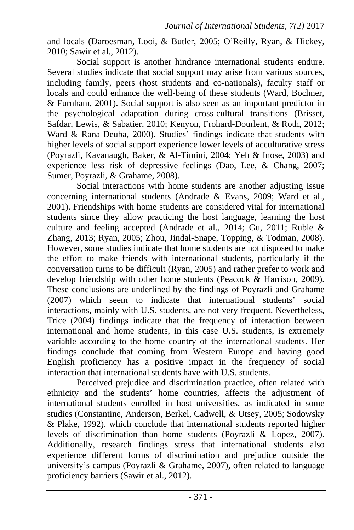and locals (Daroesman, Looi, & Butler, 2005; O'Reilly, Ryan, & Hickey, 2010; Sawir et al., 2012).

Social support is another hindrance international students endure. Several studies indicate that social support may arise from various sources, including family, peers (host students and co-nationals), faculty staff or locals and could enhance the well-being of these students (Ward, Bochner, & Furnham, 2001). Social support is also seen as an important predictor in the psychological adaptation during cross-cultural transitions (Brisset, Safdar, Lewis, & Sabatier, 2010; Kenyon, Frohard-Dourlent, & Roth, 2012; Ward & Rana-Deuba, 2000). Studies' findings indicate that students with higher levels of social support experience lower levels of acculturative stress (Poyrazli, Kavanaugh, Baker, & Al-Timini, 2004; Yeh & Inose, 2003) and experience less risk of depressive feelings (Dao, Lee, & Chang, 2007; Sumer, Poyrazli, & Grahame, 2008).

Social interactions with home students are another adjusting issue concerning international students (Andrade & Evans, 2009; Ward et al., 2001). Friendships with home students are considered vital for international students since they allow practicing the host language, learning the host culture and feeling accepted (Andrade et al., 2014; Gu, 2011; Ruble & Zhang, 2013; Ryan, 2005; Zhou, Jindal-Snape, Topping, & Todman, 2008). However, some studies indicate that home students are not disposed to make the effort to make friends with international students, particularly if the conversation turns to be difficult (Ryan, 2005) and rather prefer to work and develop friendship with other home students (Peacock & Harrison, 2009). These conclusions are underlined by the findings of Poyrazli and Grahame (2007) which seem to indicate that international students' social interactions, mainly with U.S. students, are not very frequent. Nevertheless, Trice (2004) findings indicate that the frequency of interaction between international and home students, in this case U.S. students, is extremely variable according to the home country of the international students. Her findings conclude that coming from Western Europe and having good English proficiency has a positive impact in the frequency of social interaction that international students have with U.S. students.

Perceived prejudice and discrimination practice, often related with ethnicity and the students' home countries, affects the adjustment of international students enrolled in host universities, as indicated in some studies (Constantine, Anderson, Berkel, Cadwell, & Utsey, 2005; Sodowsky & Plake, 1992), which conclude that international students reported higher levels of discrimination than home students (Poyrazli & Lopez, 2007). Additionally, research findings stress that international students also experience different forms of discrimination and prejudice outside the university's campus (Poyrazli & Grahame, 2007), often related to language proficiency barriers (Sawir et al., 2012).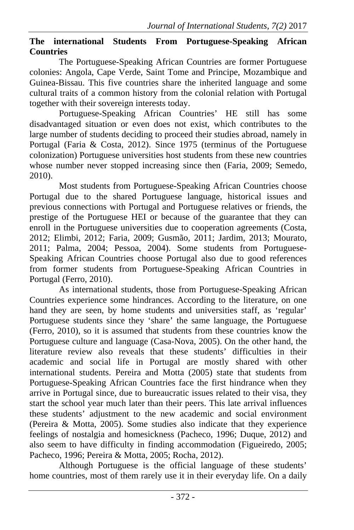#### **The international Students From Portuguese-Speaking African Countries**

The Portuguese-Speaking African Countries are former Portuguese colonies: Angola, Cape Verde, Saint Tome and Principe, Mozambique and Guinea-Bissau. This five countries share the inherited language and some cultural traits of a common history from the colonial relation with Portugal together with their sovereign interests today.

Portuguese-Speaking African Countries' HE still has some disadvantaged situation or even does not exist, which contributes to the large number of students deciding to proceed their studies abroad, namely in Portugal (Faria & Costa, 2012). Since 1975 (terminus of the Portuguese colonization) Portuguese universities host students from these new countries whose number never stopped increasing since then (Faria, 2009; Semedo, 2010).

Most students from Portuguese-Speaking African Countries choose Portugal due to the shared Portuguese language, historical issues and previous connections with Portugal and Portuguese relatives or friends, the prestige of the Portuguese HEI or because of the guarantee that they can enroll in the Portuguese universities due to cooperation agreements (Costa, 2012; Elimbi, 2012; Faria, 2009; Gusmão, 2011; Jardim, 2013; Mourato, 2011; Palma, 2004; Pessoa, 2004). Some students from Portuguese-Speaking African Countries choose Portugal also due to good references from former students from Portuguese-Speaking African Countries in Portugal (Ferro, 2010).

As international students, those from Portuguese-Speaking African Countries experience some hindrances. According to the literature, on one hand they are seen, by home students and universities staff, as 'regular' Portuguese students since they 'share' the same language, the Portuguese (Ferro, 2010), so it is assumed that students from these countries know the Portuguese culture and language (Casa-Nova, 2005). On the other hand, the literature review also reveals that these students' difficulties in their academic and social life in Portugal are mostly shared with other international students. Pereira and Motta (2005) state that students from Portuguese-Speaking African Countries face the first hindrance when they arrive in Portugal since, due to bureaucratic issues related to their visa, they start the school year much later than their peers. This late arrival influences these students' adjustment to the new academic and social environment (Pereira & Motta, 2005). Some studies also indicate that they experience feelings of nostalgia and homesickness (Pacheco, 1996; Duque, 2012) and also seem to have difficulty in finding accommodation (Figueiredo, 2005; Pacheco, 1996; Pereira & Motta, 2005; Rocha, 2012).

Although Portuguese is the official language of these students' home countries, most of them rarely use it in their everyday life. On a daily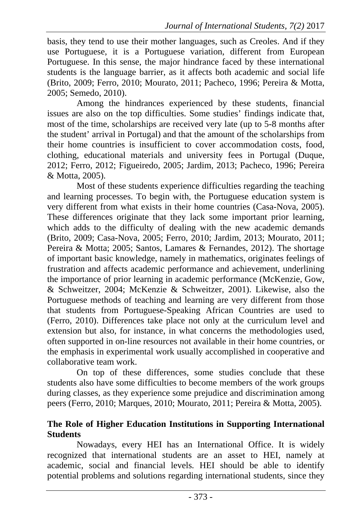basis, they tend to use their mother languages, such as Creoles. And if they use Portuguese, it is a Portuguese variation, different from European Portuguese. In this sense, the major hindrance faced by these international students is the language barrier, as it affects both academic and social life (Brito, 2009; Ferro, 2010; Mourato, 2011; Pacheco, 1996; Pereira & Motta, 2005; Semedo, 2010).

Among the hindrances experienced by these students, financial issues are also on the top difficulties. Some studies' findings indicate that, most of the time, scholarships are received very late (up to 5-8 months after the student' arrival in Portugal) and that the amount of the scholarships from their home countries is insufficient to cover accommodation costs, food, clothing, educational materials and university fees in Portugal (Duque, 2012; Ferro, 2012; Figueiredo, 2005; Jardim, 2013; Pacheco, 1996; Pereira & Motta, 2005).

Most of these students experience difficulties regarding the teaching and learning processes. To begin with, the Portuguese education system is very different from what exists in their home countries (Casa-Nova, 2005). These differences originate that they lack some important prior learning, which adds to the difficulty of dealing with the new academic demands (Brito, 2009; Casa-Nova, 2005; Ferro, 2010; Jardim, 2013; Mourato, 2011; Pereira & Motta; 2005; Santos, Lamares & Fernandes, 2012). The shortage of important basic knowledge, namely in mathematics, originates feelings of frustration and affects academic performance and achievement, underlining the importance of prior learning in academic performance (McKenzie, Gow, & Schweitzer, 2004; McKenzie & Schweitzer, 2001). Likewise, also the Portuguese methods of teaching and learning are very different from those that students from Portuguese-Speaking African Countries are used to (Ferro, 2010). Differences take place not only at the curriculum level and extension but also, for instance, in what concerns the methodologies used, often supported in on-line resources not available in their home countries, or the emphasis in experimental work usually accomplished in cooperative and collaborative team work.

On top of these differences, some studies conclude that these students also have some difficulties to become members of the work groups during classes, as they experience some prejudice and discrimination among peers (Ferro, 2010; Marques, 2010; Mourato, 2011; Pereira & Motta, 2005).

#### **The Role of Higher Education Institutions in Supporting International Students**

Nowadays, every HEI has an International Office. It is widely recognized that international students are an asset to HEI, namely at academic, social and financial levels. HEI should be able to identify potential problems and solutions regarding international students, since they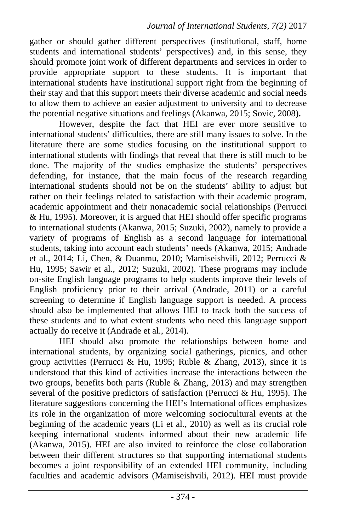gather or should gather different perspectives (institutional, staff, home students and international students' perspectives) and, in this sense, they should promote joint work of different departments and services in order to provide appropriate support to these students. It is important that international students have institutional support right from the beginning of their stay and that this support meets their diverse academic and social needs to allow them to achieve an easier adjustment to university and to decrease the potential negative situations and feelings (Akanwa, 2015; Sovic, 2008)**.** 

However, despite the fact that HEI are ever more sensitive to international students' difficulties, there are still many issues to solve. In the literature there are some studies focusing on the institutional support to international students with findings that reveal that there is still much to be done. The majority of the studies emphasize the students' perspectives defending, for instance, that the main focus of the research regarding international students should not be on the students' ability to adjust but rather on their feelings related to satisfaction with their academic program, academic appointment and their nonacademic social relationships (Perrucci & Hu, 1995). Moreover, it is argued that HEI should offer specific programs to international students (Akanwa, 2015; Suzuki, 2002), namely to provide a variety of programs of English as a second language for international students, taking into account each students' needs (Akanwa, 2015; Andrade et al., 2014; Li, Chen, & Duanmu, 2010; Mamiseishvili, 2012; Perrucci & Hu, 1995; Sawir et al., 2012; Suzuki, 2002). These programs may include on-site English language programs to help students improve their levels of English proficiency prior to their arrival (Andrade, 2011) or a careful screening to determine if English language support is needed. A process should also be implemented that allows HEI to track both the success of these students and to what extent students who need this language support actually do receive it (Andrade et al., 2014).

HEI should also promote the relationships between home and international students, by organizing social gatherings, picnics, and other group activities (Perrucci & Hu, 1995; Ruble & Zhang, 2013), since it is understood that this kind of activities increase the interactions between the two groups, benefits both parts (Ruble & Zhang, 2013) and may strengthen several of the positive predictors of satisfaction (Perrucci & Hu, 1995). The literature suggestions concerning the HEI's International offices emphasizes its role in the organization of more welcoming sociocultural events at the beginning of the academic years (Li et al., 2010) as well as its crucial role keeping international students informed about their new academic life (Akanwa, 2015). HEI are also invited to reinforce the close collaboration between their different structures so that supporting international students becomes a joint responsibility of an extended HEI community, including faculties and academic advisors (Mamiseishvili, 2012). HEI must provide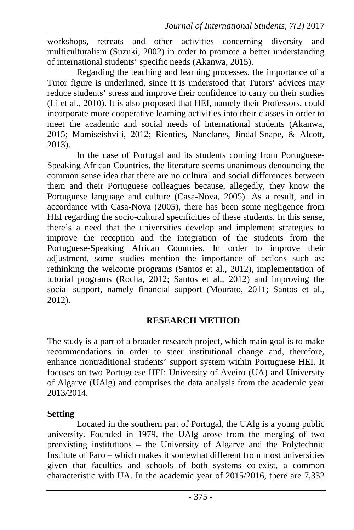workshops, retreats and other activities concerning diversity and multiculturalism (Suzuki, 2002) in order to promote a better understanding of international students' specific needs (Akanwa, 2015).

Regarding the teaching and learning processes, the importance of a Tutor figure is underlined, since it is understood that Tutors' advices may reduce students' stress and improve their confidence to carry on their studies (Li et al., 2010). It is also proposed that HEI, namely their Professors, could incorporate more cooperative learning activities into their classes in order to meet the academic and social needs of international students (Akanwa, 2015; Mamiseishvili, 2012; Rienties, Nanclares, Jindal-Snape, & Alcott, 2013).

In the case of Portugal and its students coming from Portuguese-Speaking African Countries, the literature seems unanimous denouncing the common sense idea that there are no cultural and social differences between them and their Portuguese colleagues because, allegedly, they know the Portuguese language and culture (Casa-Nova, 2005). As a result, and in accordance with Casa-Nova (2005), there has been some negligence from HEI regarding the socio-cultural specificities of these students. In this sense, there's a need that the universities develop and implement strategies to improve the reception and the integration of the students from the Portuguese-Speaking African Countries. In order to improve their adjustment, some studies mention the importance of actions such as: rethinking the welcome programs (Santos et al., 2012), implementation of tutorial programs (Rocha, 2012; Santos et al., 2012) and improving the social support, namely financial support (Mourato, 2011; Santos et al., 2012).

## **RESEARCH METHOD**

The study is a part of a broader research project, which main goal is to make recommendations in order to steer institutional change and, therefore, enhance nontraditional students' support system within Portuguese HEI. It focuses on two Portuguese HEI: University of Aveiro (UA) and University of Algarve (UAlg) and comprises the data analysis from the academic year 2013/2014.

#### **Setting**

Located in the southern part of Portugal, the UAlg is a young public university. Founded in 1979, the UAlg arose from the merging of two preexisting institutions – the University of Algarve and the Polytechnic Institute of Faro – which makes it somewhat different from most universities given that faculties and schools of both systems co-exist, a common characteristic with UA. In the academic year of 2015/2016, there are 7,332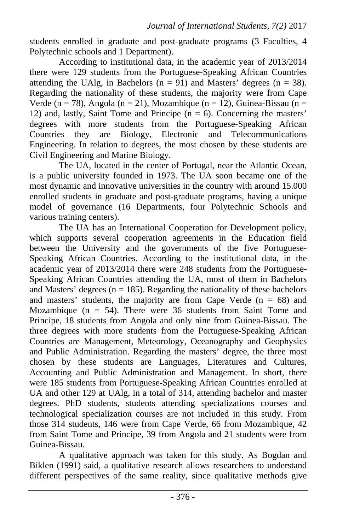students enrolled in graduate and post-graduate programs (3 Faculties, 4 Polytechnic schools and 1 Department).

According to institutional data, in the academic year of 2013/2014 there were 129 students from the Portuguese-Speaking African Countries attending the UAlg, in Bachelors ( $n = 91$ ) and Masters' degrees ( $n = 38$ ). Regarding the nationality of these students, the majority were from Cape Verde (n = 78), Angola (n = 21), Mozambique (n = 12), Guinea-Bissau (n = 12) and, lastly, Saint Tome and Principe  $(n = 6)$ . Concerning the masters' degrees with more students from the Portuguese-Speaking African Countries they are Biology, Electronic and Telecommunications Engineering. In relation to degrees, the most chosen by these students are Civil Engineering and Marine Biology.

The UA, located in the center of Portugal, near the Atlantic Ocean, is a public university founded in 1973. The UA soon became one of the most dynamic and innovative universities in the country with around 15.000 enrolled students in graduate and post-graduate programs, having a unique model of governance (16 Departments, four Polytechnic Schools and various training centers).

The UA has an International Cooperation for Development policy, which supports several cooperation agreements in the Education field between the University and the governments of the five Portuguese-Speaking African Countries. According to the institutional data, in the academic year of 2013/2014 there were 248 students from the Portuguese-Speaking African Countries attending the UA, most of them in Bachelors and Masters' degrees ( $n = 185$ ). Regarding the nationality of these bachelors and masters' students, the majority are from Cape Verde  $(n = 68)$  and Mozambique ( $n = 54$ ). There were 36 students from Saint Tome and Principe, 18 students from Angola and only nine from Guinea-Bissau. The three degrees with more students from the Portuguese-Speaking African Countries are Management, Meteorology, Oceanography and Geophysics and Public Administration. Regarding the masters' degree, the three most chosen by these students are Languages, Literatures and Cultures, Accounting and Public Administration and Management. In short, there were 185 students from Portuguese-Speaking African Countries enrolled at UA and other 129 at UAlg, in a total of 314, attending bachelor and master degrees. PhD students, students attending specializations courses and technological specialization courses are not included in this study. From those 314 students, 146 were from Cape Verde, 66 from Mozambique, 42 from Saint Tome and Principe, 39 from Angola and 21 students were from Guinea-Bissau.

A qualitative approach was taken for this study. As Bogdan and Biklen (1991) said, a qualitative research allows researchers to understand different perspectives of the same reality, since qualitative methods give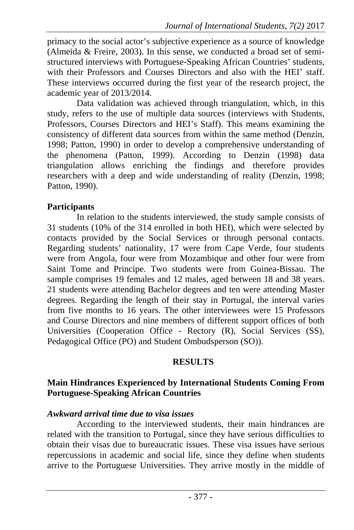primacy to the social actor's subjective experience as a source of knowledge (Almeida & Freire, 2003). In this sense, we conducted a broad set of semistructured interviews with Portuguese-Speaking African Countries' students, with their Professors and Courses Directors and also with the HEI' staff. These interviews occurred during the first year of the research project, the academic year of 2013/2014.

Data validation was achieved through triangulation, which, in this study, refers to the use of multiple data sources (interviews with Students, Professors, Courses Directors and HEI's Staff). This means examining the consistency of different data sources from within the same method (Denzin, 1998; Patton, 1990) in order to develop a comprehensive understanding of the phenomena (Patton, 1999). According to Denzin (1998) data triangulation allows enriching the findings and therefore provides researchers with a deep and wide understanding of reality (Denzin, 1998; Patton, 1990).

# **Participants**

In relation to the students interviewed, the study sample consists of 31 students (10% of the 314 enrolled in both HEI), which were selected by contacts provided by the Social Services or through personal contacts. Regarding students' nationality, 17 were from Cape Verde, four students were from Angola, four were from Mozambique and other four were from Saint Tome and Principe. Two students were from Guinea-Bissau. The sample comprises 19 females and 12 males, aged between 18 and 38 years. 21 students were attending Bachelor degrees and ten were attending Master degrees. Regarding the length of their stay in Portugal, the interval varies from five months to 16 years. The other interviewees were 15 Professors and Course Directors and nine members of different support offices of both Universities (Cooperation Office - Rectory (R), Social Services (SS), Pedagogical Office (PO) and Student Ombudsperson (SO)).

# **RESULTS**

# **Main Hindrances Experienced by International Students Coming From Portuguese-Speaking African Countries**

# *Awkward arrival time due to visa issues*

According to the interviewed students, their main hindrances are related with the transition to Portugal, since they have serious difficulties to obtain their visas due to bureaucratic issues. These visa issues have serious repercussions in academic and social life, since they define when students arrive to the Portuguese Universities. They arrive mostly in the middle of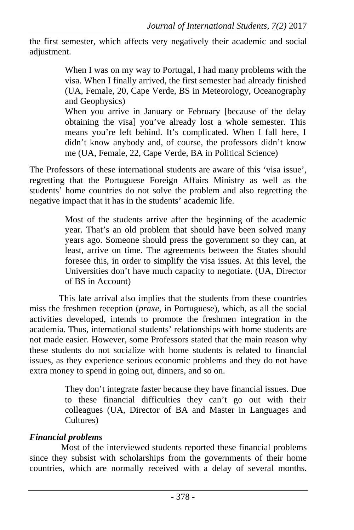the first semester, which affects very negatively their academic and social adjustment.

> When I was on my way to Portugal, I had many problems with the visa. When I finally arrived, the first semester had already finished (UA, Female, 20, Cape Verde, BS in Meteorology, Oceanography and Geophysics)

> When you arrive in January or February [because of the delay obtaining the visa] you've already lost a whole semester. This means you're left behind. It's complicated. When I fall here, I didn't know anybody and, of course, the professors didn't know me (UA, Female, 22, Cape Verde, BA in Political Science)

The Professors of these international students are aware of this 'visa issue', regretting that the Portuguese Foreign Affairs Ministry as well as the students' home countries do not solve the problem and also regretting the negative impact that it has in the students' academic life.

> Most of the students arrive after the beginning of the academic year. That's an old problem that should have been solved many years ago. Someone should press the government so they can, at least, arrive on time. The agreements between the States should foresee this, in order to simplify the visa issues. At this level, the Universities don't have much capacity to negotiate. (UA, Director of BS in Account)

This late arrival also implies that the students from these countries miss the freshmen reception (*praxe*, in Portuguese), which, as all the social activities developed, intends to promote the freshmen integration in the academia. Thus, international students' relationships with home students are not made easier. However, some Professors stated that the main reason why these students do not socialize with home students is related to financial issues, as they experience serious economic problems and they do not have extra money to spend in going out, dinners, and so on.

> They don't integrate faster because they have financial issues. Due to these financial difficulties they can't go out with their colleagues (UA, Director of BA and Master in Languages and Cultures)

# *Financial problems*

 Most of the interviewed students reported these financial problems since they subsist with scholarships from the governments of their home countries, which are normally received with a delay of several months.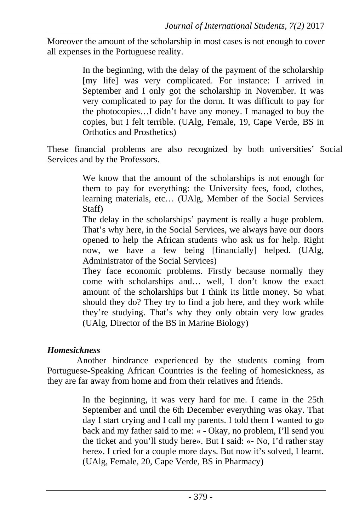Moreover the amount of the scholarship in most cases is not enough to cover all expenses in the Portuguese reality.

> In the beginning, with the delay of the payment of the scholarship [my life] was very complicated. For instance: I arrived in September and I only got the scholarship in November. It was very complicated to pay for the dorm. It was difficult to pay for the photocopies…I didn't have any money. I managed to buy the copies, but I felt terrible. (UAlg, Female, 19, Cape Verde, BS in Orthotics and Prosthetics)

These financial problems are also recognized by both universities' Social Services and by the Professors.

> We know that the amount of the scholarships is not enough for them to pay for everything: the University fees, food, clothes, learning materials, etc… (UAlg, Member of the Social Services Staff)

> The delay in the scholarships' payment is really a huge problem. That's why here, in the Social Services, we always have our doors opened to help the African students who ask us for help. Right now, we have a few being [financially] helped. (UAlg, Administrator of the Social Services)

> They face economic problems. Firstly because normally they come with scholarships and… well, I don't know the exact amount of the scholarships but I think its little money. So what should they do? They try to find a job here, and they work while they're studying. That's why they only obtain very low grades (UAlg, Director of the BS in Marine Biology)

# *Homesickness*

Another hindrance experienced by the students coming from Portuguese-Speaking African Countries is the feeling of homesickness, as they are far away from home and from their relatives and friends.

> In the beginning, it was very hard for me. I came in the 25th September and until the 6th December everything was okay. That day I start crying and I call my parents. I told them I wanted to go back and my father said to me: « - Okay, no problem, I'll send you the ticket and you'll study here». But I said: «- No, I'd rather stay here». I cried for a couple more days. But now it's solved, I learnt. (UAlg, Female, 20, Cape Verde, BS in Pharmacy)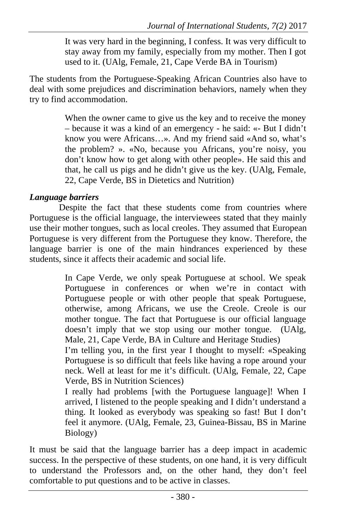It was very hard in the beginning, I confess. It was very difficult to stay away from my family, especially from my mother. Then I got used to it. (UAlg, Female, 21, Cape Verde BA in Tourism)

The students from the Portuguese-Speaking African Countries also have to deal with some prejudices and discrimination behaviors, namely when they try to find accommodation.

> When the owner came to give us the key and to receive the money – because it was a kind of an emergency - he said: «- But I didn't know you were Africans…». And my friend said «And so, what's the problem? ». «No, because you Africans, you're noisy, you don't know how to get along with other people». He said this and that, he call us pigs and he didn't give us the key. (UAlg, Female, 22, Cape Verde, BS in Dietetics and Nutrition)

# *Language barriers*

Despite the fact that these students come from countries where Portuguese is the official language, the interviewees stated that they mainly use their mother tongues, such as local creoles. They assumed that European Portuguese is very different from the Portuguese they know. Therefore, the language barrier is one of the main hindrances experienced by these students, since it affects their academic and social life.

> In Cape Verde, we only speak Portuguese at school. We speak Portuguese in conferences or when we're in contact with Portuguese people or with other people that speak Portuguese, otherwise, among Africans, we use the Creole. Creole is our mother tongue. The fact that Portuguese is our official language doesn't imply that we stop using our mother tongue. (UAlg, Male, 21, Cape Verde, BA in Culture and Heritage Studies)

> I'm telling you, in the first year I thought to myself: «Speaking Portuguese is so difficult that feels like having a rope around your neck. Well at least for me it's difficult. (UAlg, Female, 22, Cape Verde, BS in Nutrition Sciences)

> I really had problems [with the Portuguese language]! When I arrived, I listened to the people speaking and I didn't understand a thing. It looked as everybody was speaking so fast! But I don't feel it anymore. (UAlg, Female, 23, Guinea-Bissau, BS in Marine Biology)

It must be said that the language barrier has a deep impact in academic success. In the perspective of these students, on one hand, it is very difficult to understand the Professors and, on the other hand, they don't feel comfortable to put questions and to be active in classes.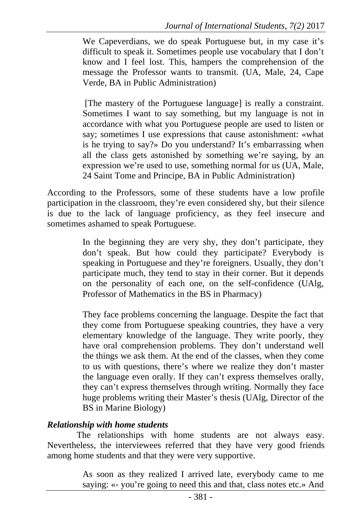We Capeverdians, we do speak Portuguese but, in my case it's difficult to speak it. Sometimes people use vocabulary that I don't know and I feel lost. This, hampers the comprehension of the message the Professor wants to transmit. (UA, Male, 24, Cape Verde, BA in Public Administration)

 [The mastery of the Portuguese language] is really a constraint. Sometimes I want to say something, but my language is not in accordance with what you Portuguese people are used to listen or say; sometimes I use expressions that cause astonishment: «what is he trying to say?» Do you understand? It's embarrassing when all the class gets astonished by something we're saying, by an expression we're used to use, something normal for us (UA, Male, 24 Saint Tome and Principe, BA in Public Administration)

According to the Professors, some of these students have a low profile participation in the classroom, they're even considered shy, but their silence is due to the lack of language proficiency, as they feel insecure and sometimes ashamed to speak Portuguese.

> In the beginning they are very shy, they don't participate, they don't speak. But how could they participate? Everybody is speaking in Portuguese and they're foreigners. Usually, they don't participate much, they tend to stay in their corner. But it depends on the personality of each one, on the self-confidence (UAlg, Professor of Mathematics in the BS in Pharmacy)

> They face problems concerning the language. Despite the fact that they come from Portuguese speaking countries, they have a very elementary knowledge of the language. They write poorly, they have oral comprehension problems. They don't understand well the things we ask them. At the end of the classes, when they come to us with questions, there's where we realize they don't master the language even orally. If they can't express themselves orally, they can't express themselves through writing. Normally they face huge problems writing their Master's thesis (UAlg, Director of the BS in Marine Biology)

#### *Relationship with home students*

The relationships with home students are not always easy. Nevertheless, the interviewees referred that they have very good friends among home students and that they were very supportive.

> As soon as they realized I arrived late, everybody came to me saying: «- you're going to need this and that, class notes etc.» And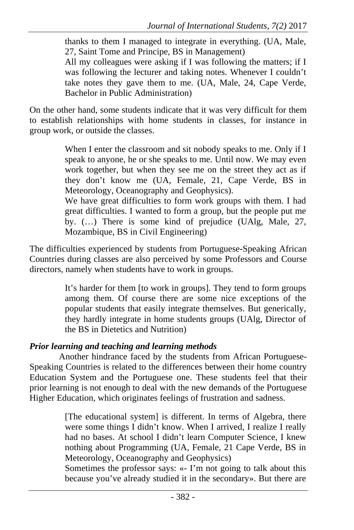thanks to them I managed to integrate in everything. (UA, Male, 27, Saint Tome and Principe, BS in Management)

All my colleagues were asking if I was following the matters; if I was following the lecturer and taking notes. Whenever I couldn't take notes they gave them to me. (UA, Male, 24, Cape Verde, Bachelor in Public Administration)

On the other hand, some students indicate that it was very difficult for them to establish relationships with home students in classes, for instance in group work, or outside the classes.

> When I enter the classroom and sit nobody speaks to me. Only if I speak to anyone, he or she speaks to me. Until now. We may even work together, but when they see me on the street they act as if they don't know me (UA, Female, 21, Cape Verde, BS in Meteorology, Oceanography and Geophysics).

> We have great difficulties to form work groups with them. I had great difficulties. I wanted to form a group, but the people put me by. (…) There is some kind of prejudice (UAlg, Male, 27, Mozambique, BS in Civil Engineering)

The difficulties experienced by students from Portuguese-Speaking African Countries during classes are also perceived by some Professors and Course directors, namely when students have to work in groups.

> It's harder for them [to work in groups]. They tend to form groups among them. Of course there are some nice exceptions of the popular students that easily integrate themselves. But generically, they hardly integrate in home students groups (UAlg, Director of the BS in Dietetics and Nutrition)

# *Prior learning and teaching and learning methods*

Another hindrance faced by the students from African Portuguese-Speaking Countries is related to the differences between their home country Education System and the Portuguese one. These students feel that their prior learning is not enough to deal with the new demands of the Portuguese Higher Education, which originates feelings of frustration and sadness.

> [The educational system] is different. In terms of Algebra, there were some things I didn't know. When I arrived, I realize I really had no bases. At school I didn't learn Computer Science, I knew nothing about Programming (UA, Female, 21 Cape Verde, BS in Meteorology, Oceanography and Geophysics)

> Sometimes the professor says: «- I'm not going to talk about this because you've already studied it in the secondary». But there are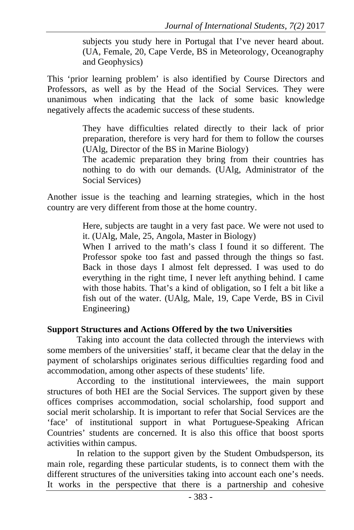subjects you study here in Portugal that I've never heard about. (UA, Female, 20, Cape Verde, BS in Meteorology, Oceanography and Geophysics)

This 'prior learning problem' is also identified by Course Directors and Professors, as well as by the Head of the Social Services. They were unanimous when indicating that the lack of some basic knowledge negatively affects the academic success of these students.

> They have difficulties related directly to their lack of prior preparation, therefore is very hard for them to follow the courses (UAlg, Director of the BS in Marine Biology)

> The academic preparation they bring from their countries has nothing to do with our demands. (UAlg, Administrator of the Social Services)

Another issue is the teaching and learning strategies, which in the host country are very different from those at the home country.

> Here, subjects are taught in a very fast pace. We were not used to it. (UAlg, Male, 25, Angola, Master in Biology)

> When I arrived to the math's class I found it so different. The Professor spoke too fast and passed through the things so fast. Back in those days I almost felt depressed. I was used to do everything in the right time, I never left anything behind. I came with those habits. That's a kind of obligation, so I felt a bit like a fish out of the water. (UAlg, Male, 19, Cape Verde, BS in Civil Engineering)

#### **Support Structures and Actions Offered by the two Universities**

Taking into account the data collected through the interviews with some members of the universities' staff, it became clear that the delay in the payment of scholarships originates serious difficulties regarding food and accommodation, among other aspects of these students' life.

According to the institutional interviewees, the main support structures of both HEI are the Social Services. The support given by these offices comprises accommodation, social scholarship, food support and social merit scholarship. It is important to refer that Social Services are the 'face' of institutional support in what Portuguese-Speaking African Countries' students are concerned. It is also this office that boost sports activities within campus.

In relation to the support given by the Student Ombudsperson, its main role, regarding these particular students, is to connect them with the different structures of the universities taking into account each one's needs. It works in the perspective that there is a partnership and cohesive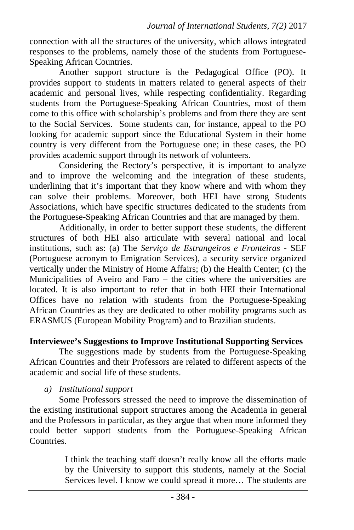connection with all the structures of the university, which allows integrated responses to the problems, namely those of the students from Portuguese-Speaking African Countries.

Another support structure is the Pedagogical Office (PO). It provides support to students in matters related to general aspects of their academic and personal lives, while respecting confidentiality. Regarding students from the Portuguese-Speaking African Countries, most of them come to this office with scholarship's problems and from there they are sent to the Social Services. Some students can, for instance, appeal to the PO looking for academic support since the Educational System in their home country is very different from the Portuguese one; in these cases, the PO provides academic support through its network of volunteers.

Considering the Rectory's perspective, it is important to analyze and to improve the welcoming and the integration of these students, underlining that it's important that they know where and with whom they can solve their problems. Moreover, both HEI have strong Students Associations, which have specific structures dedicated to the students from the Portuguese-Speaking African Countries and that are managed by them.

Additionally, in order to better support these students, the different structures of both HEI also articulate with several national and local institutions, such as: (a) The *Serviço de Estrangeiros e Fronteiras* - SEF (Portuguese acronym to Emigration Services), a security service organized vertically under the Ministry of Home Affairs; (b) the Health Center; (c) the Municipalities of Aveiro and Faro – the cities where the universities are located. It is also important to refer that in both HEI their International Offices have no relation with students from the Portuguese-Speaking African Countries as they are dedicated to other mobility programs such as ERASMUS (European Mobility Program) and to Brazilian students.

## **Interviewee's Suggestions to Improve Institutional Supporting Services**

The suggestions made by students from the Portuguese-Speaking African Countries and their Professors are related to different aspects of the academic and social life of these students.

## *a) Institutional support*

Some Professors stressed the need to improve the dissemination of the existing institutional support structures among the Academia in general and the Professors in particular, as they argue that when more informed they could better support students from the Portuguese-Speaking African Countries.

> I think the teaching staff doesn't really know all the efforts made by the University to support this students, namely at the Social Services level. I know we could spread it more… The students are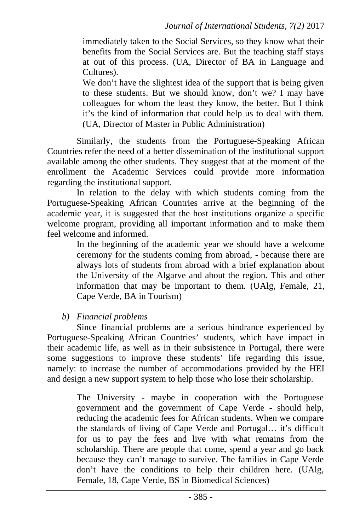immediately taken to the Social Services, so they know what their benefits from the Social Services are. But the teaching staff stays at out of this process. (UA, Director of BA in Language and Cultures).

We don't have the slightest idea of the support that is being given to these students. But we should know, don't we? I may have colleagues for whom the least they know, the better. But I think it's the kind of information that could help us to deal with them. (UA, Director of Master in Public Administration)

Similarly, the students from the Portuguese-Speaking African Countries refer the need of a better dissemination of the institutional support available among the other students. They suggest that at the moment of the enrollment the Academic Services could provide more information regarding the institutional support.

In relation to the delay with which students coming from the Portuguese-Speaking African Countries arrive at the beginning of the academic year, it is suggested that the host institutions organize a specific welcome program, providing all important information and to make them feel welcome and informed.

> In the beginning of the academic year we should have a welcome ceremony for the students coming from abroad, - because there are always lots of students from abroad with a brief explanation about the University of the Algarve and about the region. This and other information that may be important to them. (UAlg, Female, 21, Cape Verde, BA in Tourism)

#### *b) Financial problems*

Since financial problems are a serious hindrance experienced by Portuguese-Speaking African Countries' students, which have impact in their academic life, as well as in their subsistence in Portugal, there were some suggestions to improve these students' life regarding this issue, namely: to increase the number of accommodations provided by the HEI and design a new support system to help those who lose their scholarship.

> The University - maybe in cooperation with the Portuguese government and the government of Cape Verde - should help, reducing the academic fees for African students. When we compare the standards of living of Cape Verde and Portugal… it's difficult for us to pay the fees and live with what remains from the scholarship. There are people that come, spend a year and go back because they can't manage to survive. The families in Cape Verde don't have the conditions to help their children here. (UAlg, Female, 18, Cape Verde, BS in Biomedical Sciences)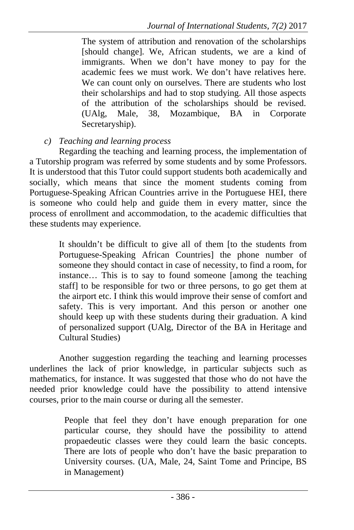The system of attribution and renovation of the scholarships [should change]. We, African students, we are a kind of immigrants. When we don't have money to pay for the academic fees we must work. We don't have relatives here. We can count only on ourselves. There are students who lost their scholarships and had to stop studying. All those aspects of the attribution of the scholarships should be revised. (UAlg, Male, 38, Mozambique, BA in Corporate Secretaryship).

# *c) Teaching and learning process*

Regarding the teaching and learning process, the implementation of a Tutorship program was referred by some students and by some Professors. It is understood that this Tutor could support students both academically and socially, which means that since the moment students coming from Portuguese-Speaking African Countries arrive in the Portuguese HEI, there is someone who could help and guide them in every matter, since the process of enrollment and accommodation, to the academic difficulties that these students may experience.

> It shouldn't be difficult to give all of them [to the students from Portuguese-Speaking African Countries] the phone number of someone they should contact in case of necessity, to find a room, for instance… This is to say to found someone [among the teaching staff] to be responsible for two or three persons, to go get them at the airport etc. I think this would improve their sense of comfort and safety. This is very important. And this person or another one should keep up with these students during their graduation. A kind of personalized support (UAlg, Director of the BA in Heritage and Cultural Studies)

Another suggestion regarding the teaching and learning processes underlines the lack of prior knowledge, in particular subjects such as mathematics, for instance. It was suggested that those who do not have the needed prior knowledge could have the possibility to attend intensive courses, prior to the main course or during all the semester.

> People that feel they don't have enough preparation for one particular course, they should have the possibility to attend propaedeutic classes were they could learn the basic concepts. There are lots of people who don't have the basic preparation to University courses. (UA, Male, 24, Saint Tome and Principe, BS in Management)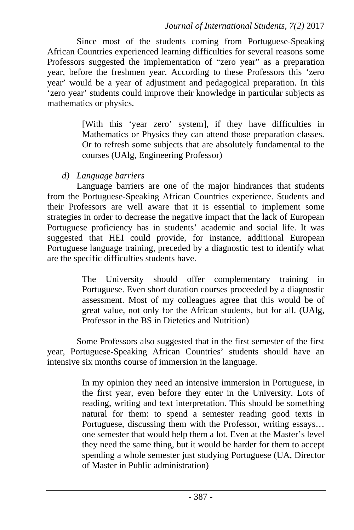Since most of the students coming from Portuguese-Speaking African Countries experienced learning difficulties for several reasons some Professors suggested the implementation of "zero year" as a preparation year, before the freshmen year. According to these Professors this 'zero year' would be a year of adjustment and pedagogical preparation. In this 'zero year' students could improve their knowledge in particular subjects as mathematics or physics.

> [With this 'year zero' system], if they have difficulties in Mathematics or Physics they can attend those preparation classes. Or to refresh some subjects that are absolutely fundamental to the courses (UAlg, Engineering Professor)

*d) Language barriers* 

Language barriers are one of the major hindrances that students from the Portuguese-Speaking African Countries experience. Students and their Professors are well aware that it is essential to implement some strategies in order to decrease the negative impact that the lack of European Portuguese proficiency has in students' academic and social life. It was suggested that HEI could provide, for instance, additional European Portuguese language training, preceded by a diagnostic test to identify what are the specific difficulties students have.

> The University should offer complementary training in Portuguese. Even short duration courses proceeded by a diagnostic assessment. Most of my colleagues agree that this would be of great value, not only for the African students, but for all. (UAlg, Professor in the BS in Dietetics and Nutrition)

Some Professors also suggested that in the first semester of the first year, Portuguese-Speaking African Countries' students should have an intensive six months course of immersion in the language.

> In my opinion they need an intensive immersion in Portuguese, in the first year, even before they enter in the University. Lots of reading, writing and text interpretation. This should be something natural for them: to spend a semester reading good texts in Portuguese, discussing them with the Professor, writing essays… one semester that would help them a lot. Even at the Master's level they need the same thing, but it would be harder for them to accept spending a whole semester just studying Portuguese (UA, Director of Master in Public administration)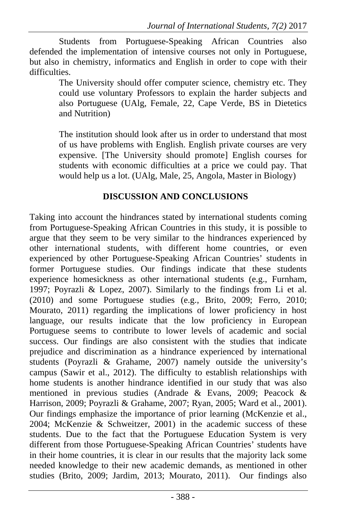Students from Portuguese-Speaking African Countries also defended the implementation of intensive courses not only in Portuguese, but also in chemistry, informatics and English in order to cope with their difficulties.

The University should offer computer science, chemistry etc. They could use voluntary Professors to explain the harder subjects and also Portuguese (UAlg, Female, 22, Cape Verde, BS in Dietetics and Nutrition)

The institution should look after us in order to understand that most of us have problems with English. English private courses are very expensive. [The University should promote] English courses for students with economic difficulties at a price we could pay. That would help us a lot. (UAlg, Male, 25, Angola, Master in Biology)

# **DISCUSSION AND CONCLUSIONS**

Taking into account the hindrances stated by international students coming from Portuguese-Speaking African Countries in this study, it is possible to argue that they seem to be very similar to the hindrances experienced by other international students, with different home countries, or even experienced by other Portuguese-Speaking African Countries' students in former Portuguese studies. Our findings indicate that these students experience homesickness as other international students (e.g., Furnham, 1997; Poyrazli & Lopez, 2007). Similarly to the findings from Li et al. (2010) and some Portuguese studies (e.g., Brito, 2009; Ferro, 2010; Mourato, 2011) regarding the implications of lower proficiency in host language, our results indicate that the low proficiency in European Portuguese seems to contribute to lower levels of academic and social success. Our findings are also consistent with the studies that indicate prejudice and discrimination as a hindrance experienced by international students (Poyrazli & Grahame, 2007) namely outside the university's campus (Sawir et al., 2012). The difficulty to establish relationships with home students is another hindrance identified in our study that was also mentioned in previous studies (Andrade & Evans, 2009; Peacock & Harrison, 2009; Poyrazli & Grahame, 2007; Ryan, 2005; Ward et al., 2001). Our findings emphasize the importance of prior learning (McKenzie et al., 2004; McKenzie & Schweitzer, 2001) in the academic success of these students. Due to the fact that the Portuguese Education System is very different from those Portuguese-Speaking African Countries' students have in their home countries, it is clear in our results that the majority lack some needed knowledge to their new academic demands, as mentioned in other studies (Brito, 2009; Jardim, 2013; Mourato, 2011). Our findings also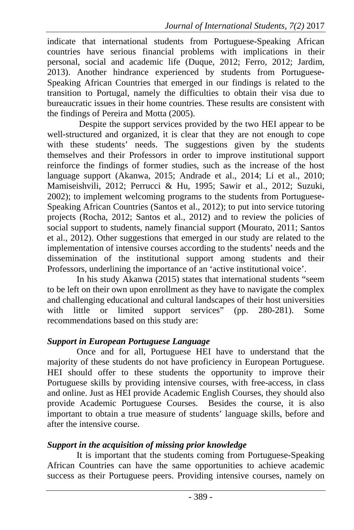indicate that international students from Portuguese-Speaking African countries have serious financial problems with implications in their personal, social and academic life (Duque, 2012; Ferro, 2012; Jardim, 2013). Another hindrance experienced by students from Portuguese-Speaking African Countries that emerged in our findings is related to the transition to Portugal, namely the difficulties to obtain their visa due to bureaucratic issues in their home countries. These results are consistent with the findings of Pereira and Motta (2005).

 Despite the support services provided by the two HEI appear to be well-structured and organized, it is clear that they are not enough to cope with these students' needs. The suggestions given by the students themselves and their Professors in order to improve institutional support reinforce the findings of former studies, such as the increase of the host language support (Akanwa, 2015; Andrade et al., 2014; Li et al., 2010; Mamiseishvili, 2012; Perrucci & Hu, 1995; Sawir et al., 2012; Suzuki, 2002); to implement welcoming programs to the students from Portuguese-Speaking African Countries (Santos et al., 2012); to put into service tutoring projects (Rocha, 2012; Santos et al., 2012) and to review the policies of social support to students, namely financial support (Mourato, 2011; Santos et al., 2012). Other suggestions that emerged in our study are related to the implementation of intensive courses according to the students' needs and the dissemination of the institutional support among students and their Professors, underlining the importance of an 'active institutional voice'.

In his study Akanwa (2015) states that international students "seem to be left on their own upon enrollment as they have to navigate the complex and challenging educational and cultural landscapes of their host universities with little or limited support services" (pp. 280-281). Some recommendations based on this study are:

#### *Support in European Portuguese Language*

Once and for all, Portuguese HEI have to understand that the majority of these students do not have proficiency in European Portuguese. HEI should offer to these students the opportunity to improve their Portuguese skills by providing intensive courses, with free-access, in class and online. Just as HEI provide Academic English Courses, they should also provide Academic Portuguese Courses. Besides the course, it is also important to obtain a true measure of students' language skills, before and after the intensive course.

#### *Support in the acquisition of missing prior knowledge*

It is important that the students coming from Portuguese-Speaking African Countries can have the same opportunities to achieve academic success as their Portuguese peers. Providing intensive courses, namely on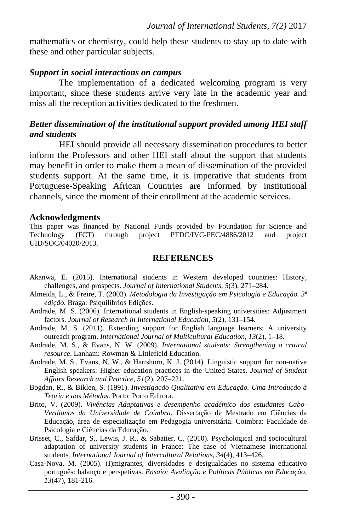mathematics or chemistry, could help these students to stay up to date with these and other particular subjects.

#### *Support in social interactions on campus*

The implementation of a dedicated welcoming program is very important, since these students arrive very late in the academic year and miss all the reception activities dedicated to the freshmen.

#### *Better dissemination of the institutional support provided among HEI staff and students*

HEI should provide all necessary dissemination procedures to better inform the Professors and other HEI staff about the support that students may benefit in order to make them a mean of dissemination of the provided students support. At the same time, it is imperative that students from Portuguese-Speaking African Countries are informed by institutional channels, since the moment of their enrollment at the academic services.

#### **Acknowledgments**

This paper was financed by National Funds provided by Foundation for Science and Technology (FCT) through project PTDC/IVC-PEC/4886/2012 and project UID/SOC/04020/2013.

#### **REFERENCES**

- Akanwa, E. (2015). International students in Western developed countries: History, challenges, and prospects. *Journal of International Students, 5*(3), 271–284.
- Almeida, L., & Freire, T. (2003). *Metodologia da Investigação em Psicologia e Educação. 3ª edição*. Braga: Psiquilíbrios Edições.
- Andrade, M. S. (2006). International students in English-speaking universities: Adjustment factors. *Journal of Research in International Education, 5*(2), 131–154.
- Andrade, M. S. (2011). Extending support for English language learners: A university outreach program. *International Journal of Multicultural Education, 13*(2), 1–18.
- Andrade, M. S., & Evans, N. W. (2009). *International students: Strengthening a critical resource*. Lanham: Rowman & Littlefield Education.
- Andrade, M. S., Evans, N. W., & Hartshorn, K. J. (2014). Linguistic support for non-native English speakers: Higher education practices in the United States. *Journal of Student Affairs Research and Practice, 51*(2), 207–221.
- Bogdan, R., & Biklen, S. (1991). *Investigação Qualitativa em Educação. Uma Introdução à Teoria e aos Métodos*. Porto: Porto Editora.
- Brito, V. (2009). *Vivências Adaptativas e desempenho académico dos estudantes Cabo-Verdianos da Universidade de Coimbra*. Dissertação de Mestrado em Ciências da Educação, área de especialização em Pedagogia universitária. Coimbra: Faculdade de Psicologia e Ciências da Educação.
- Brisset, C., Safdar, S., Lewis, J. R., & Sabatier, C. (2010). Psychological and sociocultural adaptation of university students in France: The case of Vietnamese international students*. International Journal of Intercultural Relations, 34*(4), 413–426.
- Casa-Nova, M. (2005). (I)migrantes, diversidades e desigualdades no sistema educativo português: balanço e perspetivas. *Ensaio: Avaliação e Políticas Públicas em Educação, 13*(47), 181-216.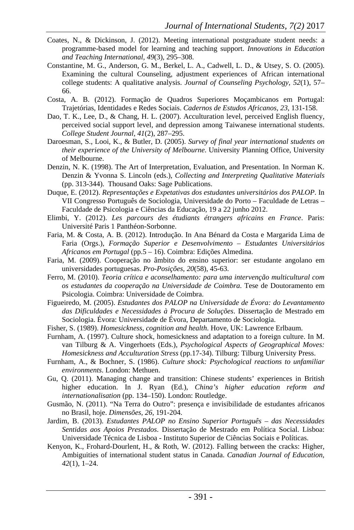- Coates, N., & Dickinson, J. (2012). Meeting international postgraduate student needs: a programme-based model for learning and teaching support. *Innovations in Education and Teaching International, 49*(3), 295–308.
- Constantine, M. G., Anderson, G. M., Berkel, L. A., Cadwell, L. D., & Utsey, S. O. (2005). Examining the cultural Counseling, adjustment experiences of African international college students: A qualitative analysis. *Journal of Counseling Psychology, 52*(1), 57– 66.
- Costa, A. B. (2012). Formação de Quadros Superiores Moçambicanos em Portugal: Trajetórias, Identidades e Redes Sociais. *Cadernos de Estudos Africanos, 23*, 131-158.
- Dao, T. K., Lee, D., & Chang, H. L. (2007). Acculturation level, perceived English fluency, perceived social support level, and depression among Taiwanese international students. *College Student Journal, 41*(2), 287–295.
- Daroesman, S., Looi, K., & Butler, D. (2005). *Survey of final year international students on their experience of the University of Melbourne*. University Planning Office, University of Melbourne.
- Denzin, N. K. (1998). The Art of Interpretation, Evaluation, and Presentation. In Norman K. Denzin & Yvonna S. Lincoln (eds.), *Collecting and Interpreting Qualitative Materials* (pp. 313-344). Thousand Oaks: Sage Publications.
- Duque, E. (2012). *Representações e Expetativas dos estudantes universitários dos PALOP*. In VII Congresso Português de Sociologia, Universidade do Porto – Faculdade de Letras – Faculdade de Psicologia e Ciências da Educação, 19 a 22 junho 2012.
- Elimbi, Y. (2012). *Les parcours des étudiants étrangers africains en France*. Paris: Université Paris 1 Panthéon-Sorbonne.
- Faria, M. & Costa, A. B. (2012). Introdução. In Ana Bénard da Costa e Margarida Lima de Faria (Orgs.), *Formação Superior e Desenvolvimento – Estudantes Universitários Africanos em Portugal* (pp.5 – 16). Coimbra: Edições Almedina.
- Faria, M. (2009). Cooperação no âmbito do ensino superior: ser estudante angolano em universidades portuguesas. *Pro-Posições, 20*(58), 45-63.
- Ferro, M. (2010). *Teoria crítica e aconselhamento: para uma intervenção multicultural com os estudantes da cooperação na Universidade de Coimbra*. Tese de Doutoramento em Psicologia. Coimbra: Universidade de Coimbra.
- Figueiredo, M. (2005). *Estudantes dos PALOP na Universidade de Évora: do Levantamento das Dificuldades e Necessidades à Procura de Soluções*. Dissertação de Mestrado em Sociologia. Évora: Universidade de Évora, Departamento de Sociologia.
- Fisher, S. (1989). *Homesickness, cognition and health*. Hove, UK: Lawrence Erlbaum.
- Furnham, A. (1997). Culture shock, homesickness and adaptation to a foreign culture. In M. van Tilburg & A. Vingerhoets (Eds.), *Psychological Aspects of Geographical Moves: Homesickness and Acculturation Stress* (pp.17-34). Tilburg: Tilburg University Press.
- Furnham, A., & Bochner, S. (1986). *Culture shock: Psychological reactions to unfamiliar environments*. London: Methuen.
- Gu, Q. (2011). Managing change and transition: Chinese students' experiences in British higher education. In J. Ryan (Ed.), *China's higher education reform and internationalisation* (pp. 134–150). London: Routledge.
- Gusmão, N. (2011). "Na Terra do Outro": presença e invisibilidade de estudantes africanos no Brasil, hoje. *Dimensões, 26*, 191-204.
- Jardim, B. (2013). *Estudantes PALOP no Ensino Superior Português das Necessidades Sentidas aos Apoios Prestados*. Dissertação de Mestrado em Política Social. Lisboa: Universidade Técnica de Lisboa - Instituto Superior de Ciências Sociais e Políticas.
- Kenyon, K., Frohard-Dourlent, H., & Roth, W. (2012). Falling between the cracks: Higher, Ambiguities of international student status in Canada. *Canadian Journal of Education, 42*(1), 1–24.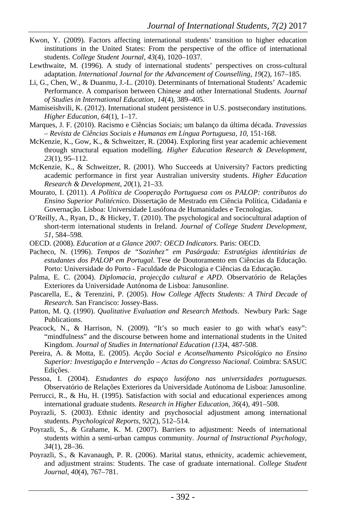- Kwon, Y. (2009). Factors affecting international students' transition to higher education institutions in the United States: From the perspective of the office of international students. *College Student Journal, 43*(4), 1020–1037.
- Lewthwaite, M. (1996). A study of international students' perspectives on cross-cultural adaptation. *International Journal for the Advancement of Counselling, 19*(2), 167–185.
- Li, G., Chen, W., & Duanmu, J.-L. (2010). Determinants of International Students' Academic Performance. A comparison between Chinese and other International Students. *Journal of Studies in International Education, 14*(4), 389–405.
- Mamiseishvili, K. (2012). International student persistence in U.S. postsecondary institutions. *Higher Education, 64*(1), 1–17.
- Marques, J. F. (2010). Racismo e Ciências Sociais; um balanço da última década. *Travessias – Revista de Ciências Sociais e Humanas em Língua Portuguesa, 10*, 151-168.
- McKenzie, K., Gow, K., & Schweitzer, R. (2004). Exploring first year academic achievement through structural equation modelling. *Higher Education Research & Development, 23*(1), 95–112.
- McKenzie, K., & Schweitzer, R. (2001). Who Succeeds at University? Factors predicting academic performance in first year Australian university students. *Higher Education Research & Development, 20*(1), 21–33.
- Mourato, I. (2011). *A Política de Cooperação Portuguesa com os PALOP: contributos do Ensino Superior Politécnico*. Dissertação de Mestrado em Ciência Política, Cidadania e Governação. Lisboa: Universidade Lusófona de Humanidades e Tecnologias.
- O'Reilly, A., Ryan, D., & Hickey, T. (2010). The psychological and sociocultural adaption of short-term international students in Ireland. *Journal of College Student Development, 51*, 584–598.
- OECD. (2008). *Education at a Glance 2007: OECD Indicators*. Paris: OECD.
- Pacheco, N. (1996). *Tempos de "Sozinhez" em Pasárgada: Estratégias identitárias de estudantes dos PALOP em Portugal*. Tese de Doutoramento em Ciências da Educação. Porto: Universidade do Porto - Faculdade de Psicologia e Ciências da Educação.
- Palma, E. C. (2004). *Diplomacia, projecção cultural e APD*. Observatório de Relações Exteriores da Universidade Autónoma de Lisboa: Janusonline.
- Pascarella, E., & Terenzini, P. (2005). *How College Affects Students: A Third Decade of Research*. San Francisco: Jossey-Bass.
- Patton, M. Q. (1990). *Qualitative Evaluation and Research Methods*. Newbury Park: Sage Publications.
- Peacock, N., & Harrison, N. (2009). "It's so much easier to go with what's easy": "mindfulness" and the discourse between home and international students in the United Kingdom. *Journal of Studies in International Education (13)*4, 487-508.
- Pereira, A. & Motta, E. (2005). *Acção Social e Aconselhamento Psicológico no Ensino Superior: Investigação e Intervenção – Actas do Congresso Nacional*. Coimbra: SASUC Edições.
- Pessoa, I. (2004). *Estudantes do espaço lusófono nas universidades portuguesas*. Observatório de Relações Exteriores da Universidade Autónoma de Lisboa: Janusonline.
- Perrucci, R., & Hu, H. (1995). Satisfaction with social and educational experiences among international graduate students. *Research in Higher Education, 36*(4), 491–508.
- Poyrazli, S. (2003). Ethnic identity and psychosocial adjustment among international students*. Psychological Reports, 92*(2), 512–514.
- Poyrazli, S., & Grahame, K. M. (2007). Barriers to adjustment: Needs of international students within a semi-urban campus community. *Journal of Instructional Psychology, 34*(1), 28–36.
- Poyrazli, S., & Kavanaugh, P. R. (2006). Marital status, ethnicity, academic achievement, and adjustment strains: Students. The case of graduate international. *College Student Journal, 40*(4), 767–781.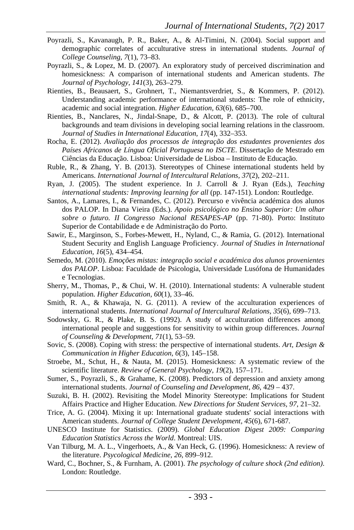- Poyrazli, S., Kavanaugh, P. R., Baker, A., & Al-Timini, N. (2004). Social support and demographic correlates of acculturative stress in international students. *Journal of College Counseling, 7*(1), 73–83.
- Poyrazli, S., & Lopez, M. D. (2007). An exploratory study of perceived discrimination and homesickness: A comparison of international students and American students. *The Journal of Psychology, 141*(3), 263–279.
- Rienties, B., Beausaert, S., Grohnert, T., Niemantsverdriet, S., & Kommers, P. (2012). Understanding academic performance of international students: The role of ethnicity, academic and social integration. *Higher Education, 63*(6), 685–700.
- Rienties, B., Nanclares, N., Jindal-Snape, D., & Alcott, P. (2013). The role of cultural backgrounds and team divisions in developing social learning relations in the classroom. *Journal of Studies in International Education, 17*(4), 332–353.
- Rocha, E. (2012). *Avaliação dos processos de integração dos estudantes provenientes dos Países Africanos de Língua Oficial Portuguesa no ISCTE*. Dissertação de Mestrado em Ciências da Educação. Lisboa: Universidade de Lisboa – Instituto de Educação.
- Ruble, R., & Zhang, Y. B. (2013). Stereotypes of Chinese international students held by Americans. *International Journal of Intercultural Relations, 37*(2), 202–211.
- Ryan, J. (2005). The student experience. In J. Carroll & J. Ryan (Eds.), *Teaching international students: Improving learning for all* (pp. 147-151). London: Routledge.
- Santos, A., Lamares, I., & Fernandes, C. (2012). Percurso e vivência académica dos alunos dos PALOP. In Diana Vieira (Eds.). *Apoio psicológico no Ensino Superior: Um olhar sobre o futuro. II Congresso Nacional RESAPES-AP* (pp. 71-80). Porto: Instituto Superior de Contabilidade e de Administração do Porto.
- Sawir, E., Marginson, S., Forbes-Mewett, H., Nyland, C., & Ramia, G. (2012). International Student Security and English Language Proficiency. *Journal of Studies in International Education, 16*(5), 434–454.
- Semedo, M. (2010). *Emoções mistas: integração social e académica dos alunos provenientes dos PALOP*. Lisboa: Faculdade de Psicologia, Universidade Lusófona de Humanidades e Tecnologias.
- Sherry, M., Thomas, P., & Chui, W. H. (2010). International students: A vulnerable student population. *Higher Education, 60*(1), 33–46.
- Smith, R. A., & Khawaja, N. G. (2011). A review of the acculturation experiences of international students. *International Journal of Intercultural Relations, 35*(6), 699–713.
- Sodowsky, G. R., & Plake, B. S. (1992). A study of acculturation differences among international people and suggestions for sensitivity to within group differences. *Journal of Counseling & Development, 71*(1), 53–59.
- Sovic, S. (2008). Coping with stress: the perspective of international students. *Art, Design & Communication in Higher Education, 6*(3), 145–158.
- Stroebe, M., Schut, H., & Nauta, M. (2015). Homesickness: A systematic review of the scientific literature. *Review of General Psychology, 19*(2), 157–171.
- Sumer, S., Poyrazli, S., & Grahame, K. (2008). Predictors of depression and anxiety among international students. *Journal of Counseling and Development, 86*, 429 – 437.
- Suzuki, B. H. (2002). Revisiting the Model Minority Stereotype: Implications for Student Affairs Practice and Higher Education. *New Directions for Student Services, 97*, 21–32.
- Trice, A. G. (2004). Mixing it up: International graduate students' social interactions with American students. *Journal of College Student Development, 45*(6), 671-687.
- UNESCO Institute for Statistics. (2009). *Global Education Digest 2009: Comparing Education Statistics Across the World*. Montreal: UIS.
- Van Tilburg, M. A. L., Vingerhoets, A., & Van Heck, G. (1996). Homesickness: A review of the literature. *Psycological Medicine, 26*, 899–912.
- Ward, C., Bochner, S., & Furnham, A. (2001). *The psychology of culture shock (2nd edition)*. London: Routledge.